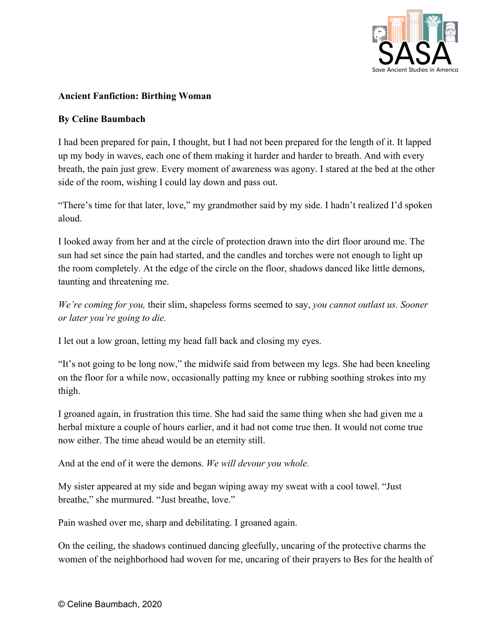

## **Ancient Fanfiction: Birthing Woman**

## **By Celine Baumbach**

I had been prepared for pain, I thought, but I had not been prepared for the length of it. It lapped up my body in waves, each one of them making it harder and harder to breath. And with every breath, the pain just grew. Every moment of awareness was agony. I stared at the bed at the other side of the room, wishing I could lay down and pass out.

"There's time for that later, love," my grandmother said by my side. I hadn't realized I'd spoken aloud.

I looked away from her and at the circle of protection drawn into the dirt floor around me. The sun had set since the pain had started, and the candles and torches were not enough to light up the room completely. At the edge of the circle on the floor, shadows danced like little demons, taunting and threatening me.

*We're coming for you,* their slim, shapeless forms seemed to say, *you cannot outlast us. Sooner or later you're going to die.*

I let out a low groan, letting my head fall back and closing my eyes.

"It's not going to be long now," the midwife said from between my legs. She had been kneeling on the floor for a while now, occasionally patting my knee or rubbing soothing strokes into my thigh.

I groaned again, in frustration this time. She had said the same thing when she had given me a herbal mixture a couple of hours earlier, and it had not come true then. It would not come true now either. The time ahead would be an eternity still.

And at the end of it were the demons. *We will devour you whole.*

My sister appeared at my side and began wiping away my sweat with a cool towel. "Just breathe," she murmured. "Just breathe, love."

Pain washed over me, sharp and debilitating. I groaned again.

On the ceiling, the shadows continued dancing gleefully, uncaring of the protective charms the women of the neighborhood had woven for me, uncaring of their prayers to Bes for the health of